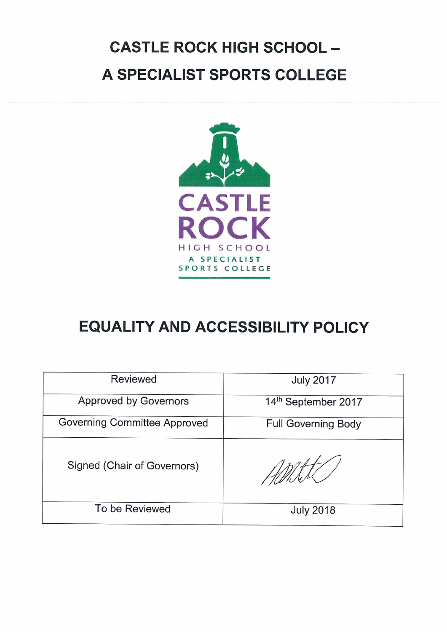# **CASTLE ROCK HIGH SCHOOL -**A SPECIALIST SPORTS COLLEGE



## **EQUALITY AND ACCESSIBILITY POLICY**

| <b>Reviewed</b>                     | <b>July 2017</b>           |
|-------------------------------------|----------------------------|
| Approved by Governors               | 14th September 2017        |
| <b>Governing Committee Approved</b> | <b>Full Governing Body</b> |
| Signed (Chair of Governors)         |                            |
| To be Reviewed                      | <b>July 2018</b>           |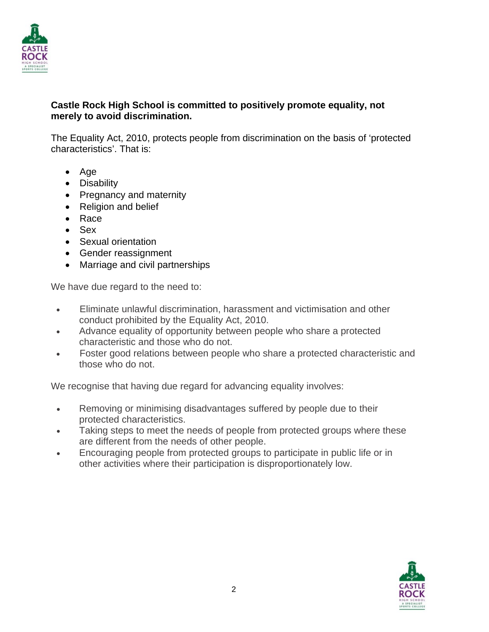

#### **Castle Rock High School is committed to positively promote equality, not merely to avoid discrimination.**

The Equality Act, 2010, protects people from discrimination on the basis of 'protected characteristics'. That is:

- Age
- Disability
- Pregnancy and maternity
- Religion and belief
- Race
- Sex
- Sexual orientation
- Gender reassignment
- Marriage and civil partnerships

We have due regard to the need to:

- Eliminate unlawful discrimination, harassment and victimisation and other conduct prohibited by the Equality Act, 2010.
- Advance equality of opportunity between people who share a protected characteristic and those who do not.
- Foster good relations between people who share a protected characteristic and those who do not.

We recognise that having due regard for advancing equality involves:

- Removing or minimising disadvantages suffered by people due to their protected characteristics.
- Taking steps to meet the needs of people from protected groups where these are different from the needs of other people.
- Encouraging people from protected groups to participate in public life or in other activities where their participation is disproportionately low.

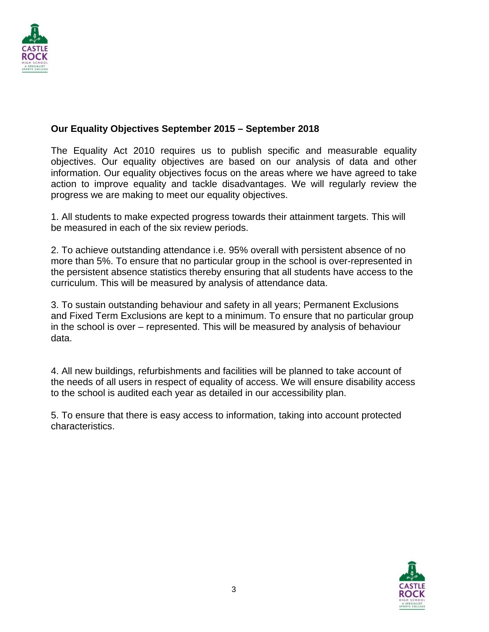

#### **Our Equality Objectives September 2015 – September 2018**

The Equality Act 2010 requires us to publish specific and measurable equality objectives. Our equality objectives are based on our analysis of data and other information. Our equality objectives focus on the areas where we have agreed to take action to improve equality and tackle disadvantages. We will regularly review the progress we are making to meet our equality objectives.

1. All students to make expected progress towards their attainment targets. This will be measured in each of the six review periods.

2. To achieve outstanding attendance i.e. 95% overall with persistent absence of no more than 5%. To ensure that no particular group in the school is over-represented in the persistent absence statistics thereby ensuring that all students have access to the curriculum. This will be measured by analysis of attendance data.

3. To sustain outstanding behaviour and safety in all years; Permanent Exclusions and Fixed Term Exclusions are kept to a minimum. To ensure that no particular group in the school is over – represented. This will be measured by analysis of behaviour data.

4. All new buildings, refurbishments and facilities will be planned to take account of the needs of all users in respect of equality of access. We will ensure disability access to the school is audited each year as detailed in our accessibility plan.

5. To ensure that there is easy access to information, taking into account protected characteristics.

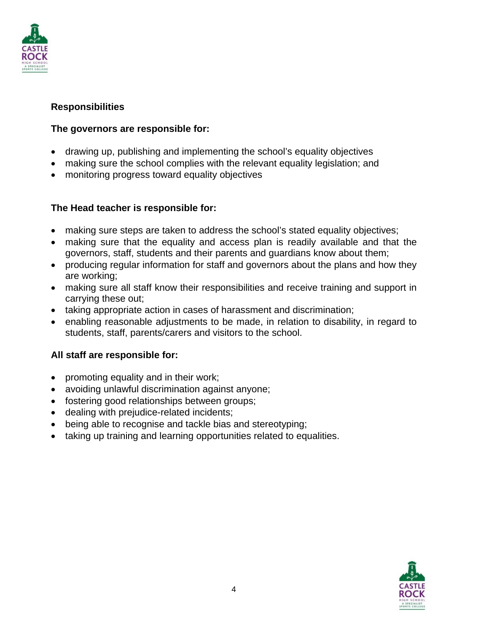

#### **Responsibilities**

#### **The governors are responsible for:**

- drawing up, publishing and implementing the school's equality objectives
- making sure the school complies with the relevant equality legislation; and
- monitoring progress toward equality objectives

#### **The Head teacher is responsible for:**

- making sure steps are taken to address the school's stated equality objectives;
- making sure that the equality and access plan is readily available and that the governors, staff, students and their parents and guardians know about them;
- producing regular information for staff and governors about the plans and how they are working;
- making sure all staff know their responsibilities and receive training and support in carrying these out;
- taking appropriate action in cases of harassment and discrimination;
- enabling reasonable adjustments to be made, in relation to disability, in regard to students, staff, parents/carers and visitors to the school.

#### **All staff are responsible for:**

- promoting equality and in their work;
- avoiding unlawful discrimination against anyone;
- fostering good relationships between groups;
- dealing with prejudice-related incidents;
- being able to recognise and tackle bias and stereotyping;
- taking up training and learning opportunities related to equalities.

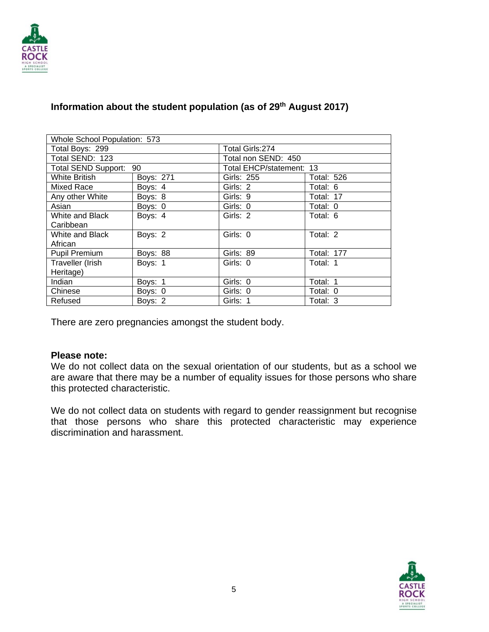

| Whole School Population: 573 |                  |                          |                   |  |
|------------------------------|------------------|--------------------------|-------------------|--|
| Total Boys: 299              | Total Girls: 274 |                          |                   |  |
| Total SEND: 123              |                  | Total non SEND: 450      |                   |  |
| Total SEND Support: 90       |                  | Total EHCP/statement: 13 |                   |  |
| <b>White British</b>         | <b>Boys: 271</b> | Girls: 255               | <b>Total: 526</b> |  |
| Mixed Race                   | Boys: 4          | Girls: 2                 | Total: 6          |  |
| Any other White              | Boys: 8          | Girls: 9                 | Total: 17         |  |
| Asian                        | Boys: 0          | Girls: 0                 | Total: 0          |  |
| White and Black              | Boys: 4          | Girls: 2                 | Total: 6          |  |
| Caribbean                    |                  |                          |                   |  |
| White and Black              | Boys: 2          | Girls: 0                 | Total: 2          |  |
| African                      |                  |                          |                   |  |
| <b>Pupil Premium</b>         | <b>Boys: 88</b>  | Girls: 89                | <b>Total: 177</b> |  |
| Traveller (Irish             | Boys: 1          | Girls: 0                 | Total: 1          |  |
| Heritage)                    |                  |                          |                   |  |
| Indian                       | Boys: 1          | Girls: 0                 | Total: 1          |  |
| Chinese                      | Boys: 0          | Girls: 0                 | Total: 0          |  |
| Refused                      | Boys: 2          | Girls: 1                 | Total: 3          |  |

#### **Information about the student population (as of 29th August 2017)**

There are zero pregnancies amongst the student body.

#### **Please note:**

We do not collect data on the sexual orientation of our students, but as a school we are aware that there may be a number of equality issues for those persons who share this protected characteristic.

We do not collect data on students with regard to gender reassignment but recognise that those persons who share this protected characteristic may experience discrimination and harassment.

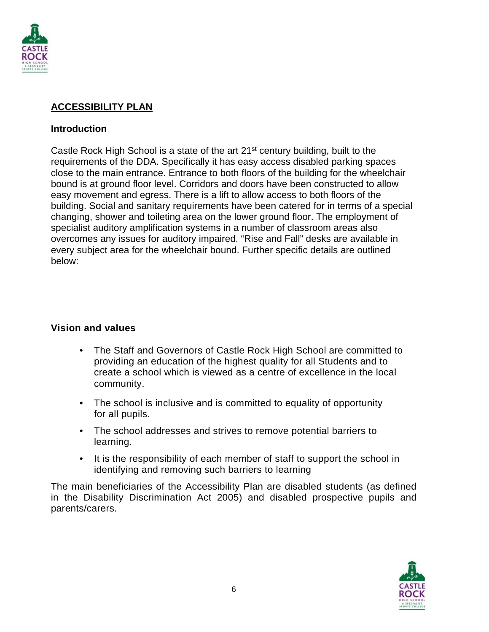

#### **ACCESSIBILITY PLAN**

#### **Introduction**

Castle Rock High School is a state of the art  $21<sup>st</sup>$  century building, built to the requirements of the DDA. Specifically it has easy access disabled parking spaces close to the main entrance. Entrance to both floors of the building for the wheelchair bound is at ground floor level. Corridors and doors have been constructed to allow easy movement and egress. There is a lift to allow access to both floors of the building. Social and sanitary requirements have been catered for in terms of a special changing, shower and toileting area on the lower ground floor. The employment of specialist auditory amplification systems in a number of classroom areas also overcomes any issues for auditory impaired. "Rise and Fall" desks are available in every subject area for the wheelchair bound. Further specific details are outlined below:

#### **Vision and values**

- The Staff and Governors of Castle Rock High School are committed to providing an education of the highest quality for all Students and to create a school which is viewed as a centre of excellence in the local community.
- The school is inclusive and is committed to equality of opportunity for all pupils.
- The school addresses and strives to remove potential barriers to learning.
- It is the responsibility of each member of staff to support the school in identifying and removing such barriers to learning

The main beneficiaries of the Accessibility Plan are disabled students (as defined in the Disability Discrimination Act 2005) and disabled prospective pupils and parents/carers.

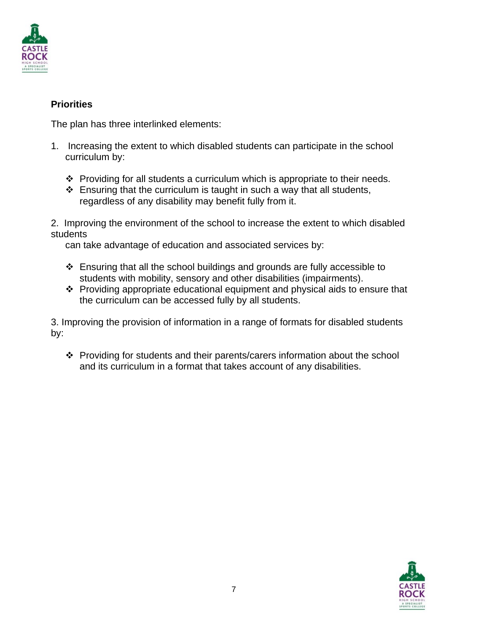

#### **Priorities**

The plan has three interlinked elements:

- 1. Increasing the extent to which disabled students can participate in the school curriculum by:
	- $\cdot \cdot$  Providing for all students a curriculum which is appropriate to their needs.
	- $\cdot$  Ensuring that the curriculum is taught in such a way that all students, regardless of any disability may benefit fully from it.

2. Improving the environment of the school to increase the extent to which disabled students

can take advantage of education and associated services by:

- Ensuring that all the school buildings and grounds are fully accessible to students with mobility, sensory and other disabilities (impairments).
- Providing appropriate educational equipment and physical aids to ensure that the curriculum can be accessed fully by all students.

3. Improving the provision of information in a range of formats for disabled students by:

\* Providing for students and their parents/carers information about the school and its curriculum in a format that takes account of any disabilities.

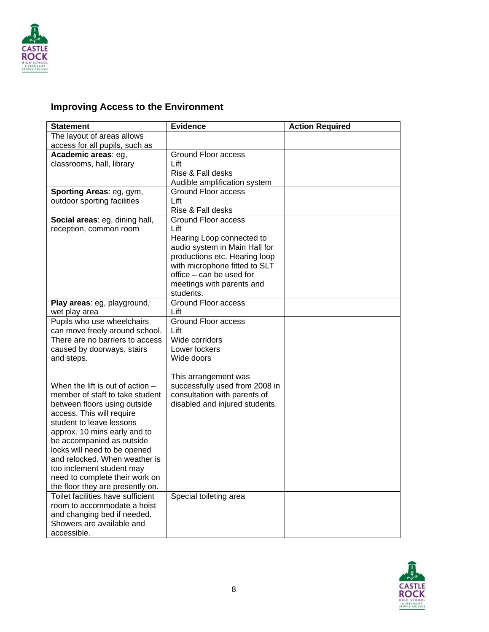

#### **Improving Access to the Environment**

| <b>Statement</b>                   | <b>Evidence</b>                                           | <b>Action Required</b> |
|------------------------------------|-----------------------------------------------------------|------------------------|
| The layout of areas allows         |                                                           |                        |
| access for all pupils, such as     |                                                           |                        |
| Academic areas: eg,                | <b>Ground Floor access</b>                                |                        |
| classrooms, hall, library          | Lift                                                      |                        |
|                                    | Rise & Fall desks                                         |                        |
|                                    | Audible amplification system                              |                        |
| Sporting Areas: eg, gym,           | <b>Ground Floor access</b>                                |                        |
| outdoor sporting facilities        | Lift                                                      |                        |
|                                    | Rise & Fall desks                                         |                        |
| Social areas: eg, dining hall,     | Ground Floor access                                       |                        |
| reception, common room             | Lift                                                      |                        |
|                                    | Hearing Loop connected to                                 |                        |
|                                    | audio system in Main Hall for                             |                        |
|                                    | productions etc. Hearing loop                             |                        |
|                                    | with microphone fitted to SLT<br>office – can be used for |                        |
|                                    | meetings with parents and                                 |                        |
|                                    | students.                                                 |                        |
| Play areas: eg, playground,        | <b>Ground Floor access</b>                                |                        |
| wet play area                      | Lift                                                      |                        |
| Pupils who use wheelchairs         | <b>Ground Floor access</b>                                |                        |
| can move freely around school.     | Lift                                                      |                        |
| There are no barriers to access    | Wide corridors                                            |                        |
| caused by doorways, stairs         | Lower lockers                                             |                        |
| and steps.                         | Wide doors                                                |                        |
|                                    |                                                           |                        |
|                                    | This arrangement was                                      |                        |
| When the lift is out of action $-$ | successfully used from 2008 in                            |                        |
| member of staff to take student    | consultation with parents of                              |                        |
| between floors using outside       | disabled and injured students.                            |                        |
| access. This will require          |                                                           |                        |
| student to leave lessons           |                                                           |                        |
| approx. 10 mins early and to       |                                                           |                        |
| be accompanied as outside          |                                                           |                        |
| locks will need to be opened       |                                                           |                        |
| and relocked. When weather is      |                                                           |                        |
| too inclement student may          |                                                           |                        |
| need to complete their work on     |                                                           |                        |
| the floor they are presently on.   |                                                           |                        |
| Toilet facilities have sufficient  | Special toileting area                                    |                        |
| room to accommodate a hoist        |                                                           |                        |
| and changing bed if needed.        |                                                           |                        |
| Showers are available and          |                                                           |                        |
| accessible.                        |                                                           |                        |

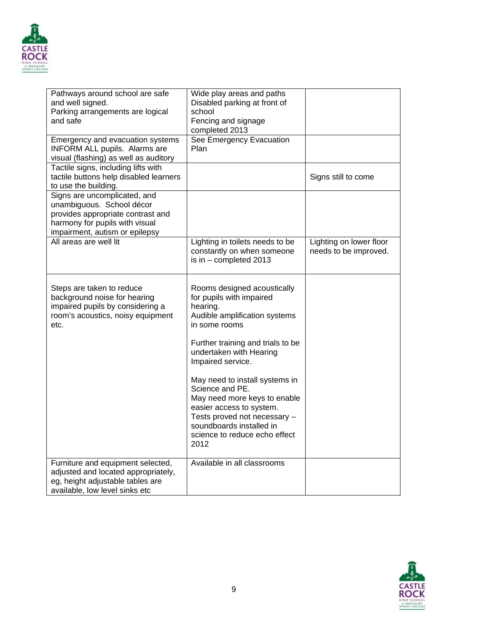

| Pathways around school are safe<br>and well signed.<br>Parking arrangements are logical<br>and safe                                                                | Wide play areas and paths<br>Disabled parking at front of<br>school<br>Fencing and signage<br>completed 2013                                                                                                       |                                                  |
|--------------------------------------------------------------------------------------------------------------------------------------------------------------------|--------------------------------------------------------------------------------------------------------------------------------------------------------------------------------------------------------------------|--------------------------------------------------|
| Emergency and evacuation systems<br>INFORM ALL pupils. Alarms are<br>visual (flashing) as well as auditory                                                         | See Emergency Evacuation<br>Plan                                                                                                                                                                                   |                                                  |
| Tactile signs, including lifts with<br>tactile buttons help disabled learners<br>to use the building.                                                              |                                                                                                                                                                                                                    | Signs still to come                              |
| Signs are uncomplicated, and<br>unambiguous. School décor<br>provides appropriate contrast and<br>harmony for pupils with visual<br>impairment, autism or epilepsy |                                                                                                                                                                                                                    |                                                  |
| All areas are well lit                                                                                                                                             | Lighting in toilets needs to be<br>constantly on when someone<br>is in $-$ completed 2013                                                                                                                          | Lighting on lower floor<br>needs to be improved. |
| Steps are taken to reduce<br>background noise for hearing<br>impaired pupils by considering a<br>room's acoustics, noisy equipment<br>etc.                         | Rooms designed acoustically<br>for pupils with impaired<br>hearing.<br>Audible amplification systems<br>in some rooms<br>Further training and trials to be<br>undertaken with Hearing<br>Impaired service.         |                                                  |
|                                                                                                                                                                    | May need to install systems in<br>Science and PE.<br>May need more keys to enable<br>easier access to system.<br>Tests proved not necessary -<br>soundboards installed in<br>science to reduce echo effect<br>2012 |                                                  |
| Furniture and equipment selected,<br>adjusted and located appropriately,<br>eg, height adjustable tables are<br>available, low level sinks etc                     | Available in all classrooms                                                                                                                                                                                        |                                                  |

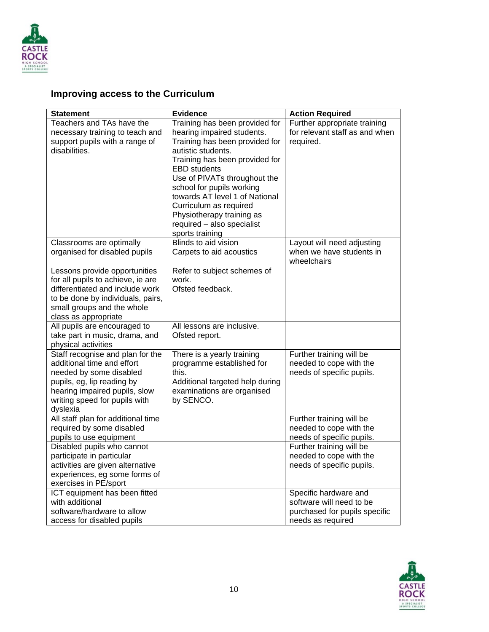

## **Improving access to the Curriculum**

| <b>Statement</b>                                                                                                                                                                                                                                                                                                                                                                                                                                                                                                                                                                                                                                                                                                                                                                                                                                                                                           | <b>Evidence</b>                                                                                                                                                                                                                                                                        | <b>Action Required</b>                                                                                                                                                                                                                                                                                                                                                                                         |
|------------------------------------------------------------------------------------------------------------------------------------------------------------------------------------------------------------------------------------------------------------------------------------------------------------------------------------------------------------------------------------------------------------------------------------------------------------------------------------------------------------------------------------------------------------------------------------------------------------------------------------------------------------------------------------------------------------------------------------------------------------------------------------------------------------------------------------------------------------------------------------------------------------|----------------------------------------------------------------------------------------------------------------------------------------------------------------------------------------------------------------------------------------------------------------------------------------|----------------------------------------------------------------------------------------------------------------------------------------------------------------------------------------------------------------------------------------------------------------------------------------------------------------------------------------------------------------------------------------------------------------|
| Teachers and TAs have the                                                                                                                                                                                                                                                                                                                                                                                                                                                                                                                                                                                                                                                                                                                                                                                                                                                                                  | Training has been provided for                                                                                                                                                                                                                                                         | Further appropriate training                                                                                                                                                                                                                                                                                                                                                                                   |
| necessary training to teach and                                                                                                                                                                                                                                                                                                                                                                                                                                                                                                                                                                                                                                                                                                                                                                                                                                                                            | hearing impaired students.                                                                                                                                                                                                                                                             | for relevant staff as and when                                                                                                                                                                                                                                                                                                                                                                                 |
| support pupils with a range of                                                                                                                                                                                                                                                                                                                                                                                                                                                                                                                                                                                                                                                                                                                                                                                                                                                                             | Training has been provided for                                                                                                                                                                                                                                                         | required.                                                                                                                                                                                                                                                                                                                                                                                                      |
| disabilities.                                                                                                                                                                                                                                                                                                                                                                                                                                                                                                                                                                                                                                                                                                                                                                                                                                                                                              | autistic students.                                                                                                                                                                                                                                                                     |                                                                                                                                                                                                                                                                                                                                                                                                                |
|                                                                                                                                                                                                                                                                                                                                                                                                                                                                                                                                                                                                                                                                                                                                                                                                                                                                                                            | Training has been provided for                                                                                                                                                                                                                                                         |                                                                                                                                                                                                                                                                                                                                                                                                                |
|                                                                                                                                                                                                                                                                                                                                                                                                                                                                                                                                                                                                                                                                                                                                                                                                                                                                                                            | <b>EBD</b> students                                                                                                                                                                                                                                                                    |                                                                                                                                                                                                                                                                                                                                                                                                                |
|                                                                                                                                                                                                                                                                                                                                                                                                                                                                                                                                                                                                                                                                                                                                                                                                                                                                                                            | Use of PIVATs throughout the                                                                                                                                                                                                                                                           |                                                                                                                                                                                                                                                                                                                                                                                                                |
|                                                                                                                                                                                                                                                                                                                                                                                                                                                                                                                                                                                                                                                                                                                                                                                                                                                                                                            | school for pupils working                                                                                                                                                                                                                                                              |                                                                                                                                                                                                                                                                                                                                                                                                                |
|                                                                                                                                                                                                                                                                                                                                                                                                                                                                                                                                                                                                                                                                                                                                                                                                                                                                                                            | towards AT level 1 of National                                                                                                                                                                                                                                                         |                                                                                                                                                                                                                                                                                                                                                                                                                |
|                                                                                                                                                                                                                                                                                                                                                                                                                                                                                                                                                                                                                                                                                                                                                                                                                                                                                                            | Curriculum as required                                                                                                                                                                                                                                                                 |                                                                                                                                                                                                                                                                                                                                                                                                                |
|                                                                                                                                                                                                                                                                                                                                                                                                                                                                                                                                                                                                                                                                                                                                                                                                                                                                                                            | Physiotherapy training as                                                                                                                                                                                                                                                              |                                                                                                                                                                                                                                                                                                                                                                                                                |
|                                                                                                                                                                                                                                                                                                                                                                                                                                                                                                                                                                                                                                                                                                                                                                                                                                                                                                            | required - also specialist                                                                                                                                                                                                                                                             |                                                                                                                                                                                                                                                                                                                                                                                                                |
|                                                                                                                                                                                                                                                                                                                                                                                                                                                                                                                                                                                                                                                                                                                                                                                                                                                                                                            | sports training                                                                                                                                                                                                                                                                        |                                                                                                                                                                                                                                                                                                                                                                                                                |
| Classrooms are optimally                                                                                                                                                                                                                                                                                                                                                                                                                                                                                                                                                                                                                                                                                                                                                                                                                                                                                   | Blinds to aid vision                                                                                                                                                                                                                                                                   | Layout will need adjusting                                                                                                                                                                                                                                                                                                                                                                                     |
|                                                                                                                                                                                                                                                                                                                                                                                                                                                                                                                                                                                                                                                                                                                                                                                                                                                                                                            |                                                                                                                                                                                                                                                                                        |                                                                                                                                                                                                                                                                                                                                                                                                                |
|                                                                                                                                                                                                                                                                                                                                                                                                                                                                                                                                                                                                                                                                                                                                                                                                                                                                                                            |                                                                                                                                                                                                                                                                                        |                                                                                                                                                                                                                                                                                                                                                                                                                |
|                                                                                                                                                                                                                                                                                                                                                                                                                                                                                                                                                                                                                                                                                                                                                                                                                                                                                                            |                                                                                                                                                                                                                                                                                        |                                                                                                                                                                                                                                                                                                                                                                                                                |
|                                                                                                                                                                                                                                                                                                                                                                                                                                                                                                                                                                                                                                                                                                                                                                                                                                                                                                            |                                                                                                                                                                                                                                                                                        |                                                                                                                                                                                                                                                                                                                                                                                                                |
|                                                                                                                                                                                                                                                                                                                                                                                                                                                                                                                                                                                                                                                                                                                                                                                                                                                                                                            |                                                                                                                                                                                                                                                                                        |                                                                                                                                                                                                                                                                                                                                                                                                                |
|                                                                                                                                                                                                                                                                                                                                                                                                                                                                                                                                                                                                                                                                                                                                                                                                                                                                                                            |                                                                                                                                                                                                                                                                                        |                                                                                                                                                                                                                                                                                                                                                                                                                |
|                                                                                                                                                                                                                                                                                                                                                                                                                                                                                                                                                                                                                                                                                                                                                                                                                                                                                                            |                                                                                                                                                                                                                                                                                        |                                                                                                                                                                                                                                                                                                                                                                                                                |
|                                                                                                                                                                                                                                                                                                                                                                                                                                                                                                                                                                                                                                                                                                                                                                                                                                                                                                            |                                                                                                                                                                                                                                                                                        |                                                                                                                                                                                                                                                                                                                                                                                                                |
|                                                                                                                                                                                                                                                                                                                                                                                                                                                                                                                                                                                                                                                                                                                                                                                                                                                                                                            |                                                                                                                                                                                                                                                                                        |                                                                                                                                                                                                                                                                                                                                                                                                                |
|                                                                                                                                                                                                                                                                                                                                                                                                                                                                                                                                                                                                                                                                                                                                                                                                                                                                                                            |                                                                                                                                                                                                                                                                                        |                                                                                                                                                                                                                                                                                                                                                                                                                |
|                                                                                                                                                                                                                                                                                                                                                                                                                                                                                                                                                                                                                                                                                                                                                                                                                                                                                                            |                                                                                                                                                                                                                                                                                        |                                                                                                                                                                                                                                                                                                                                                                                                                |
|                                                                                                                                                                                                                                                                                                                                                                                                                                                                                                                                                                                                                                                                                                                                                                                                                                                                                                            |                                                                                                                                                                                                                                                                                        |                                                                                                                                                                                                                                                                                                                                                                                                                |
|                                                                                                                                                                                                                                                                                                                                                                                                                                                                                                                                                                                                                                                                                                                                                                                                                                                                                                            |                                                                                                                                                                                                                                                                                        |                                                                                                                                                                                                                                                                                                                                                                                                                |
|                                                                                                                                                                                                                                                                                                                                                                                                                                                                                                                                                                                                                                                                                                                                                                                                                                                                                                            |                                                                                                                                                                                                                                                                                        |                                                                                                                                                                                                                                                                                                                                                                                                                |
|                                                                                                                                                                                                                                                                                                                                                                                                                                                                                                                                                                                                                                                                                                                                                                                                                                                                                                            |                                                                                                                                                                                                                                                                                        |                                                                                                                                                                                                                                                                                                                                                                                                                |
|                                                                                                                                                                                                                                                                                                                                                                                                                                                                                                                                                                                                                                                                                                                                                                                                                                                                                                            |                                                                                                                                                                                                                                                                                        |                                                                                                                                                                                                                                                                                                                                                                                                                |
|                                                                                                                                                                                                                                                                                                                                                                                                                                                                                                                                                                                                                                                                                                                                                                                                                                                                                                            |                                                                                                                                                                                                                                                                                        |                                                                                                                                                                                                                                                                                                                                                                                                                |
|                                                                                                                                                                                                                                                                                                                                                                                                                                                                                                                                                                                                                                                                                                                                                                                                                                                                                                            |                                                                                                                                                                                                                                                                                        |                                                                                                                                                                                                                                                                                                                                                                                                                |
|                                                                                                                                                                                                                                                                                                                                                                                                                                                                                                                                                                                                                                                                                                                                                                                                                                                                                                            |                                                                                                                                                                                                                                                                                        |                                                                                                                                                                                                                                                                                                                                                                                                                |
|                                                                                                                                                                                                                                                                                                                                                                                                                                                                                                                                                                                                                                                                                                                                                                                                                                                                                                            |                                                                                                                                                                                                                                                                                        |                                                                                                                                                                                                                                                                                                                                                                                                                |
|                                                                                                                                                                                                                                                                                                                                                                                                                                                                                                                                                                                                                                                                                                                                                                                                                                                                                                            |                                                                                                                                                                                                                                                                                        |                                                                                                                                                                                                                                                                                                                                                                                                                |
|                                                                                                                                                                                                                                                                                                                                                                                                                                                                                                                                                                                                                                                                                                                                                                                                                                                                                                            |                                                                                                                                                                                                                                                                                        |                                                                                                                                                                                                                                                                                                                                                                                                                |
|                                                                                                                                                                                                                                                                                                                                                                                                                                                                                                                                                                                                                                                                                                                                                                                                                                                                                                            |                                                                                                                                                                                                                                                                                        |                                                                                                                                                                                                                                                                                                                                                                                                                |
|                                                                                                                                                                                                                                                                                                                                                                                                                                                                                                                                                                                                                                                                                                                                                                                                                                                                                                            |                                                                                                                                                                                                                                                                                        |                                                                                                                                                                                                                                                                                                                                                                                                                |
|                                                                                                                                                                                                                                                                                                                                                                                                                                                                                                                                                                                                                                                                                                                                                                                                                                                                                                            |                                                                                                                                                                                                                                                                                        |                                                                                                                                                                                                                                                                                                                                                                                                                |
|                                                                                                                                                                                                                                                                                                                                                                                                                                                                                                                                                                                                                                                                                                                                                                                                                                                                                                            |                                                                                                                                                                                                                                                                                        |                                                                                                                                                                                                                                                                                                                                                                                                                |
|                                                                                                                                                                                                                                                                                                                                                                                                                                                                                                                                                                                                                                                                                                                                                                                                                                                                                                            |                                                                                                                                                                                                                                                                                        |                                                                                                                                                                                                                                                                                                                                                                                                                |
|                                                                                                                                                                                                                                                                                                                                                                                                                                                                                                                                                                                                                                                                                                                                                                                                                                                                                                            |                                                                                                                                                                                                                                                                                        |                                                                                                                                                                                                                                                                                                                                                                                                                |
|                                                                                                                                                                                                                                                                                                                                                                                                                                                                                                                                                                                                                                                                                                                                                                                                                                                                                                            |                                                                                                                                                                                                                                                                                        |                                                                                                                                                                                                                                                                                                                                                                                                                |
| organised for disabled pupils<br>Lessons provide opportunities<br>for all pupils to achieve, ie are<br>differentiated and include work<br>to be done by individuals, pairs,<br>small groups and the whole<br>class as appropriate<br>All pupils are encouraged to<br>take part in music, drama, and<br>physical activities<br>Staff recognise and plan for the<br>additional time and effort<br>needed by some disabled<br>pupils, eg, lip reading by<br>hearing impaired pupils, slow<br>writing speed for pupils with<br>dyslexia<br>All staff plan for additional time<br>required by some disabled<br>pupils to use equipment<br>Disabled pupils who cannot<br>participate in particular<br>activities are given alternative<br>experiences, eg some forms of<br>exercises in PE/sport<br>ICT equipment has been fitted<br>with additional<br>software/hardware to allow<br>access for disabled pupils | Carpets to aid acoustics<br>Refer to subject schemes of<br>work.<br>Ofsted feedback.<br>All lessons are inclusive.<br>Ofsted report.<br>There is a yearly training<br>programme established for<br>this.<br>Additional targeted help during<br>examinations are organised<br>by SENCO. | when we have students in<br>wheelchairs<br>Further training will be<br>needed to cope with the<br>needs of specific pupils.<br>Further training will be<br>needed to cope with the<br>needs of specific pupils.<br>Further training will be<br>needed to cope with the<br>needs of specific pupils.<br>Specific hardware and<br>software will need to be<br>purchased for pupils specific<br>needs as required |

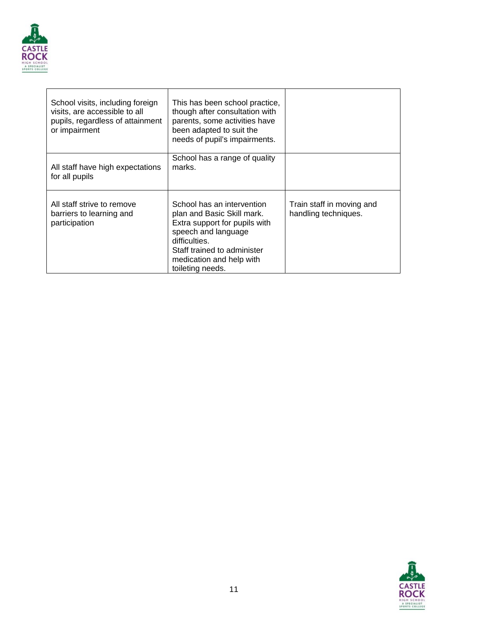

| School visits, including foreign<br>visits, are accessible to all<br>pupils, regardless of attainment<br>or impairment | This has been school practice,<br>though after consultation with<br>parents, some activities have<br>been adapted to suit the<br>needs of pupil's impairments.                                                   |                                                   |
|------------------------------------------------------------------------------------------------------------------------|------------------------------------------------------------------------------------------------------------------------------------------------------------------------------------------------------------------|---------------------------------------------------|
| All staff have high expectations<br>for all pupils                                                                     | School has a range of quality<br>marks.                                                                                                                                                                          |                                                   |
| All staff strive to remove<br>barriers to learning and<br>participation                                                | School has an intervention<br>plan and Basic Skill mark.<br>Extra support for pupils with<br>speech and language<br>difficulties.<br>Staff trained to administer<br>medication and help with<br>toileting needs. | Train staff in moving and<br>handling techniques. |

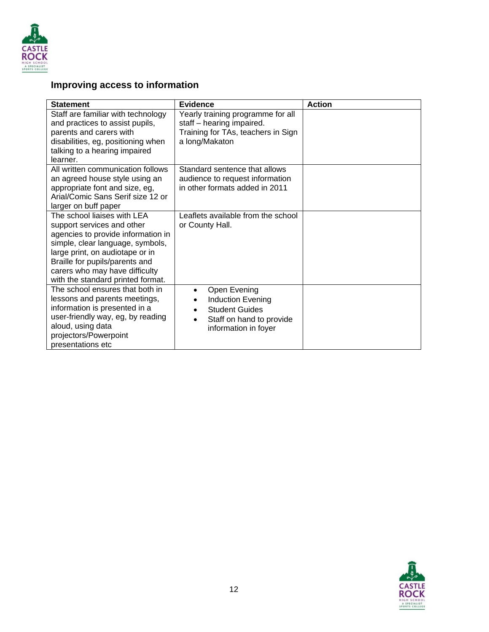

## **Improving access to information**

| <b>Statement</b>                                                                                                                                                                                                                                                                | <b>Evidence</b>                                                                                                             | <b>Action</b> |
|---------------------------------------------------------------------------------------------------------------------------------------------------------------------------------------------------------------------------------------------------------------------------------|-----------------------------------------------------------------------------------------------------------------------------|---------------|
| Staff are familiar with technology<br>and practices to assist pupils,<br>parents and carers with<br>disabilities, eg, positioning when<br>talking to a hearing impaired<br>learner.                                                                                             | Yearly training programme for all<br>staff - hearing impaired.<br>Training for TAs, teachers in Sign<br>a long/Makaton      |               |
| All written communication follows<br>an agreed house style using an<br>appropriate font and size, eg,<br>Arial/Comic Sans Serif size 12 or<br>larger on buff paper                                                                                                              | Standard sentence that allows<br>audience to request information<br>in other formats added in 2011                          |               |
| The school liaises with LEA<br>support services and other<br>agencies to provide information in<br>simple, clear language, symbols,<br>large print, on audiotape or in<br>Braille for pupils/parents and<br>carers who may have difficulty<br>with the standard printed format. | Leaflets available from the school<br>or County Hall.                                                                       |               |
| The school ensures that both in<br>lessons and parents meetings,<br>information is presented in a<br>user-friendly way, eg, by reading<br>aloud, using data<br>projectors/Powerpoint<br>presentations etc                                                                       | Open Evening<br>Induction Evening<br><b>Student Guides</b><br>Staff on hand to provide<br>$\bullet$<br>information in foyer |               |

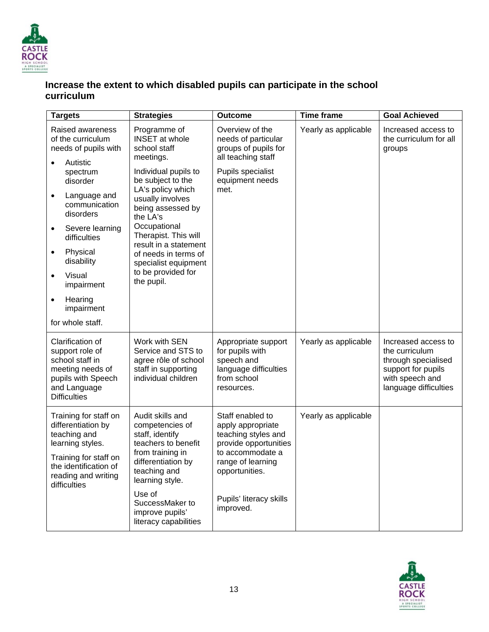

#### **Increase the extent to which disabled pupils can participate in the school curriculum**

|           | <b>Targets</b>                                                                                                                          | <b>Strategies</b>                                                                                         | <b>Outcome</b>                                                                                             | <b>Time frame</b>    | <b>Goal Achieved</b>                                                                                                           |
|-----------|-----------------------------------------------------------------------------------------------------------------------------------------|-----------------------------------------------------------------------------------------------------------|------------------------------------------------------------------------------------------------------------|----------------------|--------------------------------------------------------------------------------------------------------------------------------|
|           | Raised awareness<br>of the curriculum<br>needs of pupils with<br>Autistic                                                               | Programme of<br><b>INSET</b> at whole<br>school staff<br>meetings.                                        | Overview of the<br>needs of particular<br>groups of pupils for<br>all teaching staff                       | Yearly as applicable | Increased access to<br>the curriculum for all<br>groups                                                                        |
|           | spectrum<br>disorder                                                                                                                    | Individual pupils to<br>be subject to the                                                                 | Pupils specialist<br>equipment needs                                                                       |                      |                                                                                                                                |
| $\bullet$ | Language and<br>communication<br>disorders                                                                                              | LA's policy which<br>usually involves<br>being assessed by<br>the LA's                                    | met.                                                                                                       |                      |                                                                                                                                |
| ٠         | Severe learning<br>difficulties                                                                                                         | Occupational<br>Therapist. This will<br>result in a statement                                             |                                                                                                            |                      |                                                                                                                                |
| $\bullet$ | Physical<br>disability                                                                                                                  | of needs in terms of<br>specialist equipment                                                              |                                                                                                            |                      |                                                                                                                                |
| $\bullet$ | Visual<br>impairment                                                                                                                    | to be provided for<br>the pupil.                                                                          |                                                                                                            |                      |                                                                                                                                |
| $\bullet$ | Hearing<br>impairment                                                                                                                   |                                                                                                           |                                                                                                            |                      |                                                                                                                                |
|           | for whole staff.                                                                                                                        |                                                                                                           |                                                                                                            |                      |                                                                                                                                |
|           | Clarification of<br>support role of<br>school staff in<br>meeting needs of<br>pupils with Speech<br>and Language<br><b>Difficulties</b> | Work with SEN<br>Service and STS to<br>agree rôle of school<br>staff in supporting<br>individual children | Appropriate support<br>for pupils with<br>speech and<br>language difficulties<br>from school<br>resources. | Yearly as applicable | Increased access to<br>the curriculum<br>through specialised<br>support for pupils<br>with speech and<br>language difficulties |
|           | Training for staff on<br>differentiation by<br>teaching and<br>learning styles.                                                         | Audit skills and<br>competencies of<br>staff, identify<br>teachers to benefit                             | Staff enabled to<br>apply appropriate<br>teaching styles and<br>provide opportunities                      | Yearly as applicable |                                                                                                                                |
|           | Training for staff on<br>the identification of<br>reading and writing<br>difficulties                                                   | from training in<br>differentiation by<br>teaching and<br>learning style.                                 | to accommodate a<br>range of learning<br>opportunities.                                                    |                      |                                                                                                                                |
|           |                                                                                                                                         | Use of<br>SuccessMaker to<br>improve pupils'<br>literacy capabilities                                     | Pupils' literacy skills<br>improved.                                                                       |                      |                                                                                                                                |

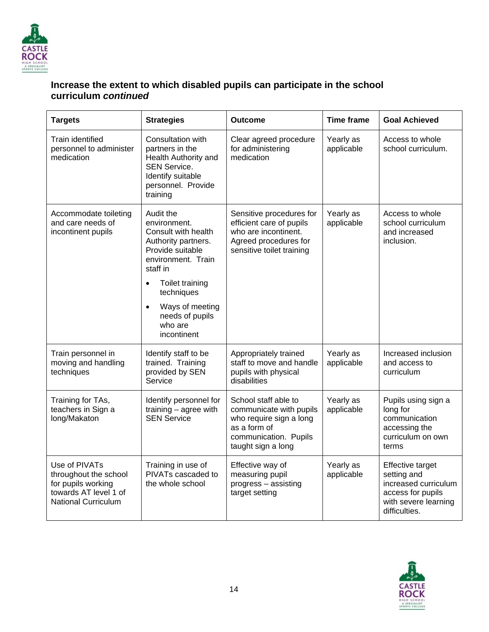

#### **Increase the extent to which disabled pupils can participate in the school curriculum** *continued*

| <b>Targets</b>                                                                                                      | <b>Strategies</b>                                                                                                                                             | <b>Outcome</b>                                                                                                                            | <b>Time frame</b>       | <b>Goal Achieved</b>                                                                                                         |
|---------------------------------------------------------------------------------------------------------------------|---------------------------------------------------------------------------------------------------------------------------------------------------------------|-------------------------------------------------------------------------------------------------------------------------------------------|-------------------------|------------------------------------------------------------------------------------------------------------------------------|
| <b>Train identified</b><br>personnel to administer<br>medication                                                    | Consultation with<br>partners in the<br>Health Authority and<br><b>SEN Service.</b><br>Identify suitable<br>personnel. Provide<br>training                    | Clear agreed procedure<br>for administering<br>medication                                                                                 | Yearly as<br>applicable | Access to whole<br>school curriculum.                                                                                        |
| Accommodate toileting<br>and care needs of<br>incontinent pupils                                                    | Audit the<br>environment.<br>Consult with health<br>Authority partners.<br>Provide suitable<br>environment. Train<br>staff in<br>Toilet training<br>$\bullet$ | Sensitive procedures for<br>efficient care of pupils<br>who are incontinent.<br>Agreed procedures for<br>sensitive toilet training        | Yearly as<br>applicable | Access to whole<br>school curriculum<br>and increased<br>inclusion.                                                          |
|                                                                                                                     | techniques<br>Ways of meeting<br>$\bullet$<br>needs of pupils<br>who are<br>incontinent                                                                       |                                                                                                                                           |                         |                                                                                                                              |
| Train personnel in<br>moving and handling<br>techniques                                                             | Identify staff to be<br>trained. Training<br>provided by SEN<br>Service                                                                                       | Appropriately trained<br>staff to move and handle<br>pupils with physical<br>disabilities                                                 | Yearly as<br>applicable | Increased inclusion<br>and access to<br>curriculum                                                                           |
| Training for TAs,<br>teachers in Sign a<br>long/Makaton                                                             | Identify personnel for<br>training $-$ agree with<br><b>SEN Service</b>                                                                                       | School staff able to<br>communicate with pupils<br>who require sign a long<br>as a form of<br>communication. Pupils<br>taught sign a long | Yearly as<br>applicable | Pupils using sign a<br>long for<br>communication<br>accessing the<br>curriculum on own<br>terms                              |
| Use of PIVATs<br>throughout the school<br>for pupils working<br>towards AT level 1 of<br><b>National Curriculum</b> | Training in use of<br>PIVATs cascaded to<br>the whole school                                                                                                  | Effective way of<br>measuring pupil<br>progress - assisting<br>target setting                                                             | Yearly as<br>applicable | <b>Effective target</b><br>setting and<br>increased curriculum<br>access for pupils<br>with severe learning<br>difficulties. |

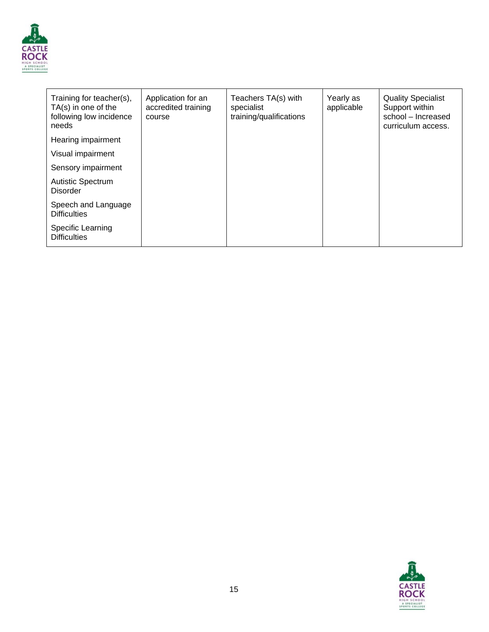

| Training for teacher(s),<br>TA(s) in one of the<br>following low incidence<br>needs | Application for an<br>accredited training<br>course | Teachers TA(s) with<br>specialist<br>training/qualifications | Yearly as<br>applicable | <b>Quality Specialist</b><br>Support within<br>school - Increased<br>curriculum access. |
|-------------------------------------------------------------------------------------|-----------------------------------------------------|--------------------------------------------------------------|-------------------------|-----------------------------------------------------------------------------------------|
| Hearing impairment                                                                  |                                                     |                                                              |                         |                                                                                         |
| Visual impairment                                                                   |                                                     |                                                              |                         |                                                                                         |
| Sensory impairment                                                                  |                                                     |                                                              |                         |                                                                                         |
| <b>Autistic Spectrum</b><br><b>Disorder</b>                                         |                                                     |                                                              |                         |                                                                                         |
| Speech and Language<br><b>Difficulties</b>                                          |                                                     |                                                              |                         |                                                                                         |
| Specific Learning<br><b>Difficulties</b>                                            |                                                     |                                                              |                         |                                                                                         |